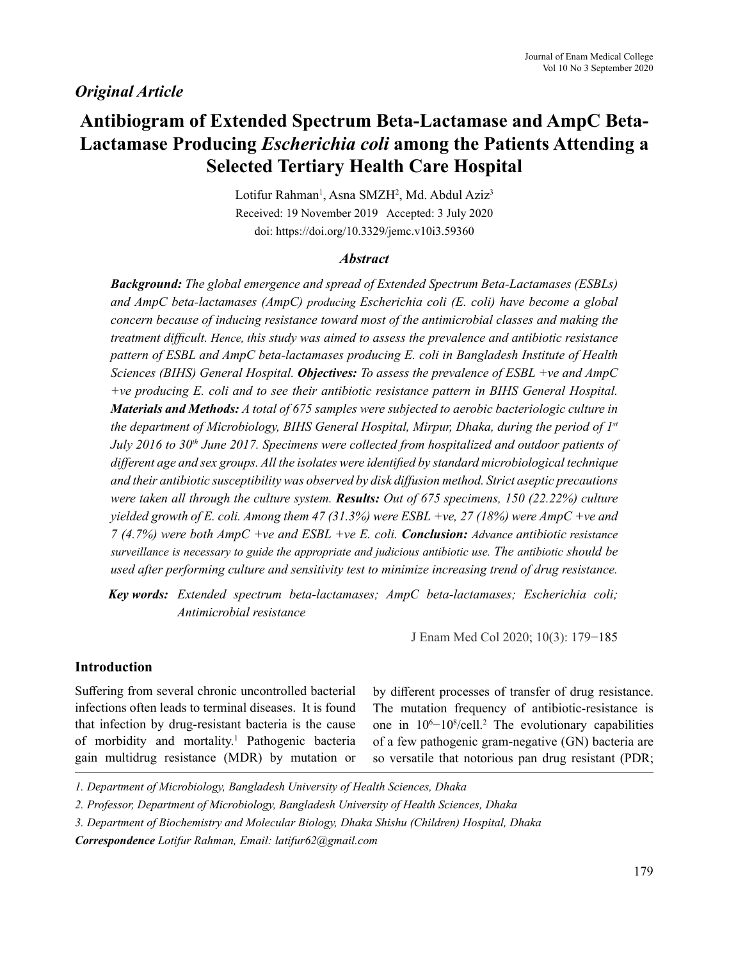# *Original Article*

# **Antibiogram of Extended Spectrum Beta-Lactamase and AmpC Beta-Lactamase Producing** *Escherichia coli* **among the Patients Attending a Selected Tertiary Health Care Hospital**

Lotifur Rahman<sup>1</sup>, Asna SMZH<sup>2</sup>, Md. Abdul Aziz<sup>3</sup> Received: 19 November 2019 Accepted: 3 July 2020 doi: https://doi.org/10.3329/jemc.v10i3.59360

### *Abstract*

*Background: The global emergence and spread of Extended Spectrum Beta-Lactamases (ESBLs) and AmpC beta-lactamases (AmpC) producing Escherichia coli (E. coli) have become a global concern because of inducing resistance toward most of the antimicrobial classes and making the treatment difficult. Hence, this study was aimed to assess the prevalence and antibiotic resistance pattern of ESBL and AmpC beta-lactamases producing E. coli in Bangladesh Institute of Health Sciences (BIHS) General Hospital. Objectives: To assess the prevalence of ESBL +ve and AmpC +ve producing E. coli and to see their antibiotic resistance pattern in BIHS General Hospital. Materials and Methods: A total of 675 samples were subjected to aerobic bacteriologic culture in the department of Microbiology, BIHS General Hospital, Mirpur, Dhaka, during the period of 1st July 2016 to 30<sup>th</sup> June 2017. Specimens were collected from hospitalized and outdoor patients of different age and sex groups. All the isolates were identified by standard microbiological technique and their antibiotic susceptibility was observed by disk diffusion method. Strict aseptic precautions were taken all through the culture system. Results: Out of 675 specimens, 150 (22.22%) culture yielded growth of E. coli. Among them 47 (31.3%) were ESBL +ve, 27 (18%) were AmpC +ve and 7 (4.7%) were both AmpC +ve and ESBL +ve E. coli. Conclusion: Advance antibiotic resistance surveillance is necessary to guide the appropriate and judicious antibiotic use. The antibiotic should be used after performing culture and sensitivity test to minimize increasing trend of drug resistance.*

*Key words: Extended spectrum beta-lactamases; AmpC beta-lactamases; Escherichia coli; Antimicrobial resistance*

J Enam Med Col 2020; 10(3): 179−185

## **Introduction**

Suffering from several chronic uncontrolled bacterial infections often leads to terminal diseases. It is found that infection by drug-resistant bacteria is the cause of morbidity and mortality.<sup>1</sup> Pathogenic bacteria gain multidrug resistance (MDR) by mutation or

by different processes of transfer of drug resistance. The mutation frequency of antibiotic-resistance is one in  $10^{6}-10^{8}/cell.^{2}$  The evolutionary capabilities of a few pathogenic gram-negative (GN) bacteria are so versatile that notorious pan drug resistant (PDR;

*<sup>1.</sup> Department of Microbiology, Bangladesh University of Health Sciences, Dhaka* 

*<sup>2.</sup> Professor, Department of Microbiology, Bangladesh University of Health Sciences, Dhaka* 

*<sup>3.</sup> Department of Biochemistry and Molecular Biology, Dhaka Shishu (Children) Hospital, Dhaka*

*Correspondence Lotifur Rahman, Email: latifur62@gmail.com*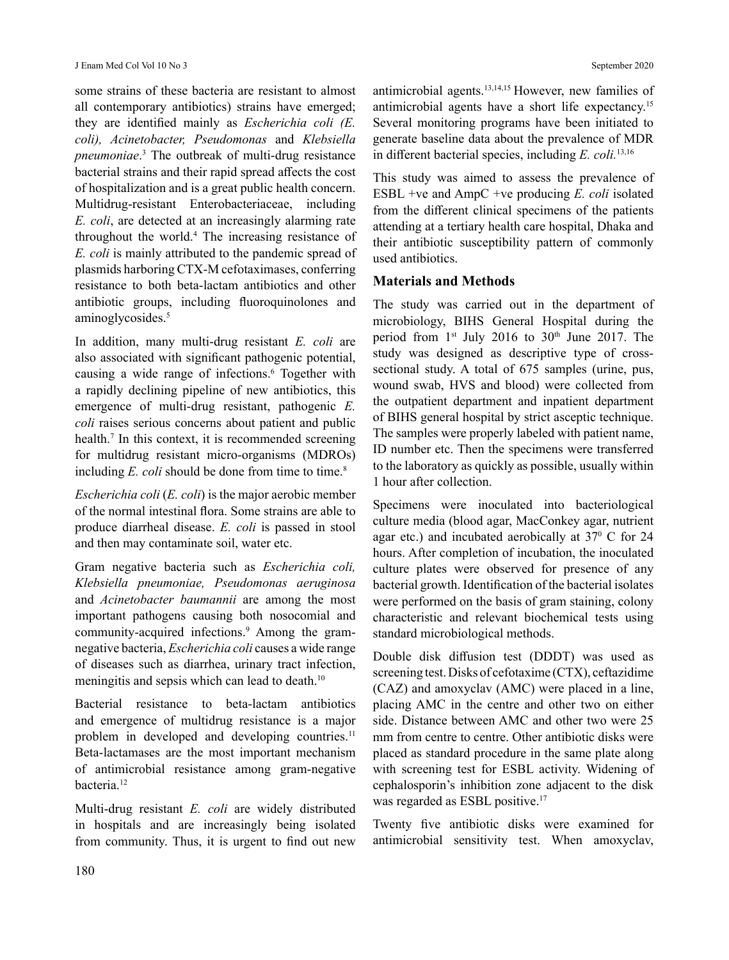some strains of these bacteria are resistant to almost all contemporary antibiotics) strains have emerged; they are identified mainly as *Escherichia coli (E. coli), Acinetobacter, Pseudomonas* and *Klebsiella pneumoniae*. 3 The outbreak of multi-drug resistance bacterial strains and their rapid spread affects the cost of hospitalization and is a great public health concern. Multidrug-resistant Enterobacteriaceae, including *E. coli*, are detected at an increasingly alarming rate throughout the world.4 The increasing resistance of *E. coli* is mainly attributed to the pandemic spread of plasmids harboring CTX-M cefotaximases, conferring resistance to both beta-lactam antibiotics and other antibiotic groups, including fluoroquinolones and aminoglycosides.<sup>5</sup>

In addition, many multi-drug resistant *E. coli* are also associated with significant pathogenic potential, causing a wide range of infections.6 Together with a rapidly declining pipeline of new antibiotics, this emergence of multi-drug resistant, pathogenic *E. coli* raises serious concerns about patient and public health.7 In this context, it is recommended screening for multidrug resistant micro-organisms (MDROs) including *E. coli* should be done from time to time.<sup>8</sup>

*Escherichia coli* (*E. coli*) is the major aerobic member of the normal intestinal flora. Some strains are able to produce diarrheal disease. *E. coli* is passed in stool and then may contaminate soil, water etc.

Gram negative bacteria such as *Escherichia coli, Klebsiella pneumoniae, Pseudomonas aeruginosa*  and *Acinetobacter baumannii* are among the most important pathogens causing both nosocomial and community-acquired infections.<sup>9</sup> Among the gramnegative bacteria, *Escherichia coli* causes a wide range of diseases such as diarrhea, urinary tract infection, meningitis and sepsis which can lead to death.<sup>10</sup>

Bacterial resistance to beta-lactam antibiotics and emergence of multidrug resistance is a major problem in developed and developing countries.<sup>11</sup> Beta-lactamases are the most important mechanism of antimicrobial resistance among gram-negative bacteria.<sup>12</sup>

Multi-drug resistant *E. coli* are widely distributed in hospitals and are increasingly being isolated from community. Thus, it is urgent to find out new

antimicrobial agents.13,14,15 However, new families of antimicrobial agents have a short life expectancy.15 Several monitoring programs have been initiated to generate baseline data about the prevalence of MDR in different bacterial species, including *E. coli.*13,16

This study was aimed to assess the prevalence of ESBL +ve and AmpC +ve producing *E. coli* isolated from the different clinical specimens of the patients attending at a tertiary health care hospital, Dhaka and their antibiotic susceptibility pattern of commonly used antibiotics.

### **Materials and Methods**

The study was carried out in the department of microbiology, BIHS General Hospital during the period from  $1<sup>st</sup>$  July 2016 to 30<sup>th</sup> June 2017. The study was designed as descriptive type of crosssectional study. A total of 675 samples (urine, pus, wound swab, HVS and blood) were collected from the outpatient department and inpatient department of BIHS general hospital by strict asceptic technique. The samples were properly labeled with patient name, ID number etc. Then the specimens were transferred to the laboratory as quickly as possible, usually within 1 hour after collection.

Specimens were inoculated into bacteriological culture media (blood agar, MacConkey agar, nutrient agar etc.) and incubated aerobically at 37<sup>0</sup> C for 24 hours. After completion of incubation, the inoculated culture plates were observed for presence of any bacterial growth. Identification of the bacterial isolates were performed on the basis of gram staining, colony characteristic and relevant biochemical tests using standard microbiological methods.

Double disk diffusion test (DDDT) was used as screening test. Disks of cefotaxime (CTX), ceftazidime (CAZ) and amoxyclav (AMC) were placed in a line, placing AMC in the centre and other two on either side. Distance between AMC and other two were 25 mm from centre to centre. Other antibiotic disks were placed as standard procedure in the same plate along with screening test for ESBL activity. Widening of cephalosporin's inhibition zone adjacent to the disk was regarded as ESBL positive.<sup>17</sup>

Twenty five antibiotic disks were examined for antimicrobial sensitivity test. When amoxyclav,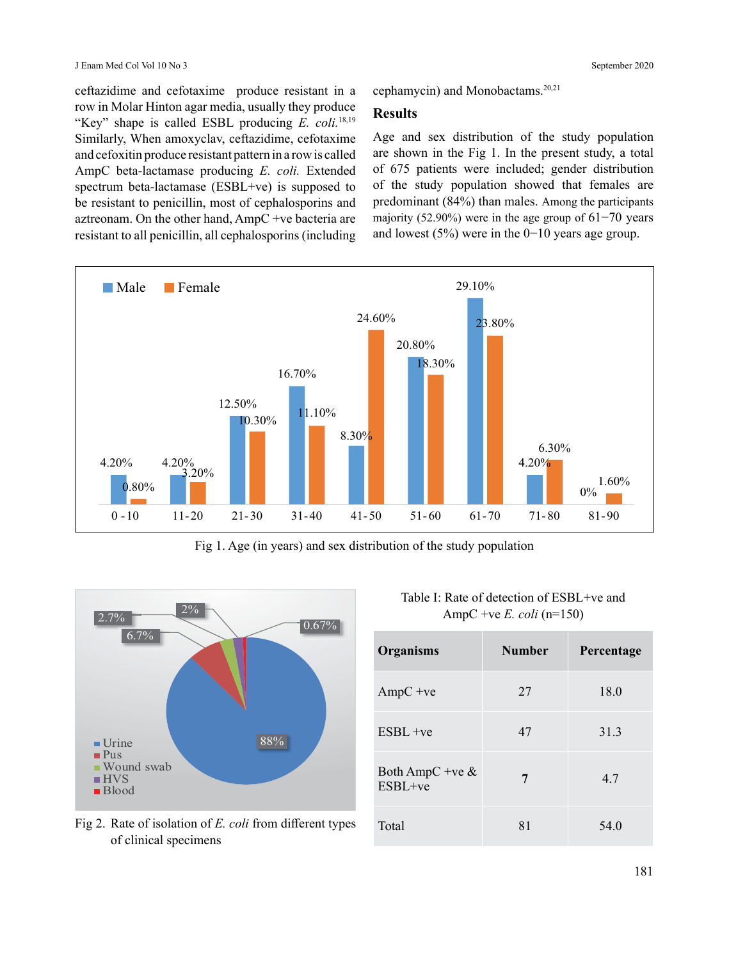ceftazidime and cefotaxime produce resistant in a row in Molar Hinton agar media, usually they produce "Key" shape is called ESBL producing *E. coli.*18,19 Similarly, When amoxyclav, ceftazidime, cefotaxime and cefoxitin produce resistant pattern in a row is called AmpC beta-lactamase producing *E. coli.* Extended spectrum beta-lactamase (ESBL+ve) is supposed to be resistant to penicillin, most of cephalosporins and aztreonam. On the other hand, AmpC +ve bacteria are resistant to all penicillin, all cephalosporins (including cephamycin) and Monobactams.20,21

#### **Results**

Age and sex distribution of the study population are shown in the Fig 1. In the present study, a total of 675 patients were included; gender distribution of the study population showed that females are predominant (84%) than males. Among the participants majority (52.90%) were in the age group of 61−70 years and lowest (5%) were in the 0−10 years age group.



Fig 1. Age (in years) and sex distribution of the study population



Fig 2. Rate of isolation of *E. coli* from different types of clinical specimens

| Table I: Rate of detection of ESBL+ve and |
|-------------------------------------------|
| AmpC +ve E. coli (n=150)                  |

| Organisms                        | <b>Number</b> | Percentage |
|----------------------------------|---------------|------------|
| $AmpC +ve$                       | 27            | 18.0       |
| $ESBI +ve$                       | 47            | 31.3       |
| Both AmpC +ve $\&$<br>$ESBI +ve$ | 7             | 4.7        |
| Total                            | 81            | 54.0       |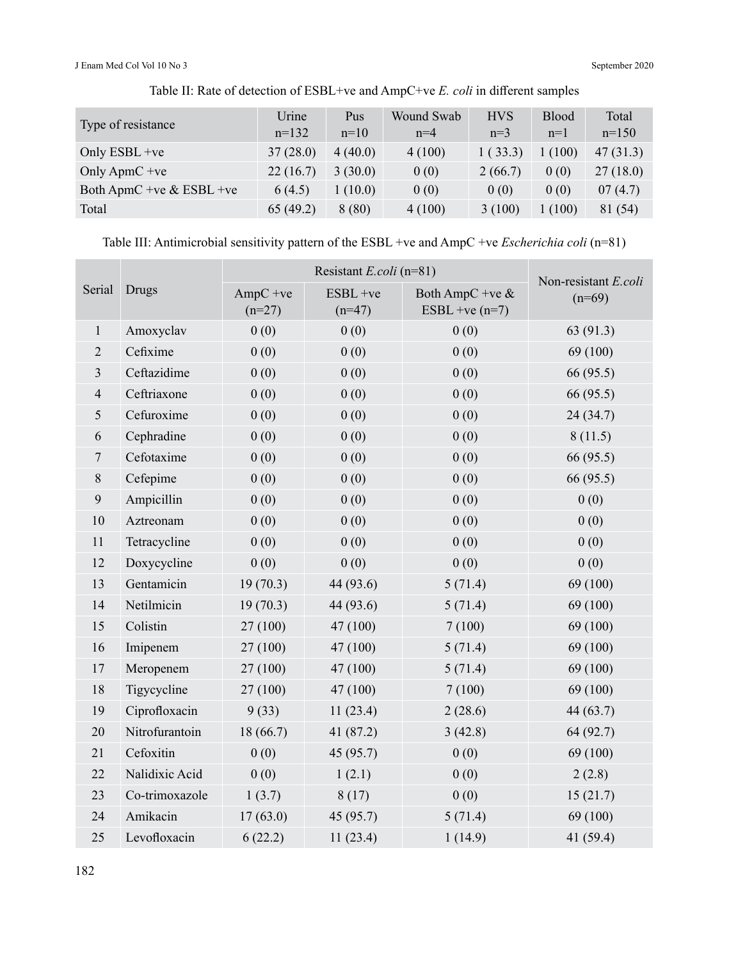J Enam Med Col Vol 10 No 3 September 2020

| Type of resistance         | Urine<br>$n=132$ | Pus<br>$n=10$ | Wound Swab<br>$n=4$ | <b>HVS</b><br>$n=3$ | <b>Blood</b><br>$n=1$ | Total<br>$n=150$ |
|----------------------------|------------------|---------------|---------------------|---------------------|-----------------------|------------------|
| Only ESBL +ve              | 37(28.0)         | 4(40.0)       | 4(100)              | 1(33.3)             | 1(100)                | 47(31.3)         |
| Only ApmC + $ve$           | 22(16.7)         | 3(30.0)       | 0(0)                | 2(66.7)             | 0(0)                  | 27(18.0)         |
| Both ApmC +ve $&$ ESBL +ve | 6(4.5)           | 1(10.0)       | 0(0)                | 0(0)                | 0(0)                  | 07(4.7)          |
| Total                      | 65(49.2)         | 8(80)         | 4(100)              | 3(100)              | 1(100)                | 81 (54)          |

Table II: Rate of detection of ESBL+ve and AmpC+ve *E. coli* in different samples

Table III: Antimicrobial sensitivity pattern of the ESBL +ve and AmpC +ve *Escherichia coli* (n=81)

|                |                |                        | Non-resistant E.coli |                                       |           |
|----------------|----------------|------------------------|----------------------|---------------------------------------|-----------|
| Serial         | Drugs          | $AmpC +ve$<br>$(n=27)$ | ESBL +ve<br>$(n=47)$ | Both AmpC +ve $&$<br>ESBL +ve $(n=7)$ | $(n=69)$  |
| $\mathbf{1}$   | Amoxyclav      | 0(0)                   | 0(0)                 | 0(0)                                  | 63(91.3)  |
| $\overline{2}$ | Cefixime       | 0(0)                   | 0(0)                 | 0(0)                                  | 69 (100)  |
| $\overline{3}$ | Ceftazidime    | 0(0)                   | 0(0)                 | 0(0)                                  | 66 (95.5) |
| $\overline{4}$ | Ceftriaxone    | 0(0)                   | 0(0)                 | 0(0)                                  | 66 (95.5) |
| $\mathfrak{S}$ | Cefuroxime     | 0(0)                   | 0(0)                 | 0(0)                                  | 24(34.7)  |
| 6              | Cephradine     | 0(0)                   | 0(0)                 | 0(0)                                  | 8(11.5)   |
| $\overline{7}$ | Cefotaxime     | 0(0)                   | 0(0)                 | 0(0)                                  | 66 (95.5) |
| $8\,$          | Cefepime       | 0(0)                   | 0(0)                 | 0(0)                                  | 66 (95.5) |
| 9              | Ampicillin     | 0(0)                   | 0(0)                 | 0(0)                                  | 0(0)      |
| 10             | Aztreonam      | 0(0)                   | 0(0)                 | 0(0)                                  | 0(0)      |
| 11             | Tetracycline   | 0(0)                   | 0(0)                 | 0(0)                                  | 0(0)      |
| 12             | Doxycycline    | 0(0)                   | 0(0)                 | 0(0)                                  | 0(0)      |
| 13             | Gentamicin     | 19(70.3)               | 44 (93.6)            | 5(71.4)                               | 69 (100)  |
| 14             | Netilmicin     | 19(70.3)               | 44 (93.6)            | 5(71.4)                               | 69 (100)  |
| 15             | Colistin       | 27(100)                | 47(100)              | 7(100)                                | 69 (100)  |
| 16             | Imipenem       | 27(100)                | 47 (100)             | 5(71.4)                               | 69 (100)  |
| 17             | Meropenem      | 27 (100)               | 47 (100)             | 5(71.4)                               | 69 (100)  |
| 18             | Tigycycline    | 27 (100)               | 47 (100)             | 7(100)                                | 69 (100)  |
| 19             | Ciprofloxacin  | 9(33)                  | 11(23.4)             | 2(28.6)                               | 44 (63.7) |
| 20             | Nitrofurantoin | 18(66.7)               | 41 (87.2)            | 3(42.8)                               | 64 (92.7) |
| 21             | Cefoxitin      | 0(0)                   | 45 (95.7)            | 0(0)                                  | 69 (100)  |
| 22             | Nalidixic Acid | 0(0)                   | 1(2.1)               | 0(0)                                  | 2(2.8)    |
| 23             | Co-trimoxazole | 1(3.7)                 | 8(17)                | 0(0)                                  | 15(21.7)  |
| 24             | Amikacin       | 17(63.0)               | 45 (95.7)            | 5(71.4)                               | 69 (100)  |
| 25             | Levofloxacin   | 6(22.2)                | 11(23.4)             | 1(14.9)                               | 41 (59.4) |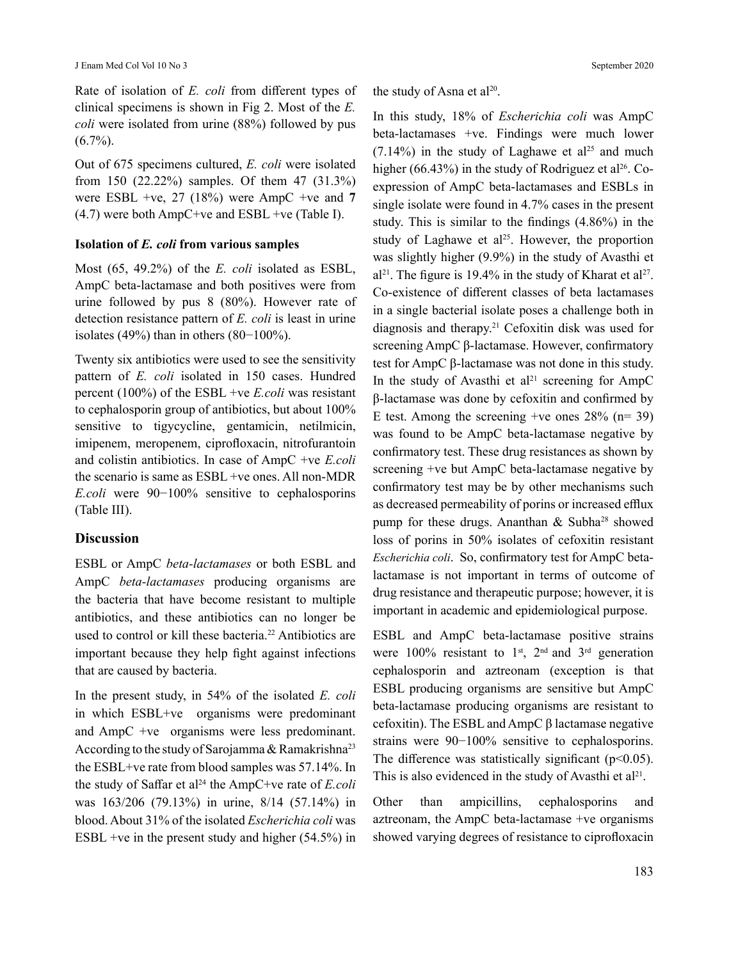Rate of isolation of *E. coli* from different types of clinical specimens is shown in Fig 2. Most of the *E. coli* were isolated from urine (88%) followed by pus  $(6.7\%)$ .

Out of 675 specimens cultured, *E. coli* were isolated from 150 (22.22%) samples. Of them 47 (31.3%) were ESBL +ve, 27 (18%) were AmpC +ve and **7**  $(4.7)$  were both AmpC+ve and ESBL +ve (Table I).

#### **Isolation of** *E. coli* **from various samples**

Most (65, 49.2%) of the *E. coli* isolated as ESBL, AmpC beta-lactamase and both positives were from urine followed by pus 8 (80%). However rate of detection resistance pattern of *E. coli* is least in urine isolates (49%) than in others (80−100%).

Twenty six antibiotics were used to see the sensitivity pattern of *E. coli* isolated in 150 cases. Hundred percent (100%) of the ESBL +ve *E.coli* was resistant to cephalosporin group of antibiotics, but about 100% sensitive to tigycycline, gentamicin, netilmicin, imipenem, meropenem, ciprofloxacin, nitrofurantoin and colistin antibiotics. In case of AmpC +ve *E.coli* the scenario is same as ESBL +ve ones. All non-MDR *E.coli* were 90−100% sensitive to cephalosporins (Table III).

#### **Discussion**

ESBL or AmpC *beta-lactamases* or both ESBL and AmpC *beta-lactamases* producing organisms are the bacteria that have become resistant to multiple antibiotics, and these antibiotics can no longer be used to control or kill these bacteria.<sup>22</sup> Antibiotics are important because they help fight against infections that are caused by bacteria.

In the present study, in 54% of the isolated *E. coli* in which ESBL+ve organisms were predominant and AmpC +ve organisms were less predominant. According to the study of Sarojamma & Ramakrishna<sup>23</sup> the ESBL+ve rate from blood samples was 57.14%. In the study of Saffar et al<sup>24</sup> the AmpC+ve rate of *E.coli* was 163/206 (79.13%) in urine, 8/14 (57.14%) in blood. About 31% of the isolated *Escherichia coli* was ESBL +ve in the present study and higher  $(54.5\%)$  in the study of Asna et al<sup>20</sup>.

In this study, 18% of *Escherichia coli* was AmpC beta-lactamases +ve. Findings were much lower  $(7.14\%)$  in the study of Laghawe et al<sup>25</sup> and much higher (66.43%) in the study of Rodriguez et al<sup>26</sup>. Coexpression of AmpC beta-lactamases and ESBLs in single isolate were found in 4.7% cases in the present study. This is similar to the findings (4.86%) in the study of Laghawe et al<sup>25</sup>. However, the proportion was slightly higher (9.9%) in the study of Avasthi et  $a^{21}$ . The figure is 19.4% in the study of Kharat et  $a^{27}$ . Co-existence of different classes of beta lactamases in a single bacterial isolate poses a challenge both in diagnosis and therapy.21 Cefoxitin disk was used for screening AmpC β-lactamase. However, confirmatory test for AmpC β-lactamase was not done in this study. In the study of Avasthi et  $al<sup>21</sup>$  screening for AmpC β-lactamase was done by cefoxitin and confirmed by E test. Among the screening +ve ones  $28\%$  (n= 39) was found to be AmpC beta-lactamase negative by confirmatory test. These drug resistances as shown by screening +ve but AmpC beta-lactamase negative by confirmatory test may be by other mechanisms such as decreased permeability of porins or increased efflux pump for these drugs. Ananthan  $\&$  Subha<sup>28</sup> showed loss of porins in 50% isolates of cefoxitin resistant *Escherichia coli*. So, confirmatory test for AmpC betalactamase is not important in terms of outcome of drug resistance and therapeutic purpose; however, it is important in academic and epidemiological purpose.

ESBL and AmpC beta-lactamase positive strains were 100% resistant to  $1<sup>st</sup>$ ,  $2<sup>nd</sup>$  and  $3<sup>rd</sup>$  generation cephalosporin and aztreonam (exception is that ESBL producing organisms are sensitive but AmpC beta-lactamase producing organisms are resistant to cefoxitin). The ESBL and AmpC β lactamase negative strains were 90−100% sensitive to cephalosporins. The difference was statistically significant ( $p<0.05$ ). This is also evidenced in the study of Avasthi et  $al<sup>21</sup>$ .

Other than ampicillins, cephalosporins and aztreonam, the AmpC beta-lactamase +ve organisms showed varying degrees of resistance to ciprofloxacin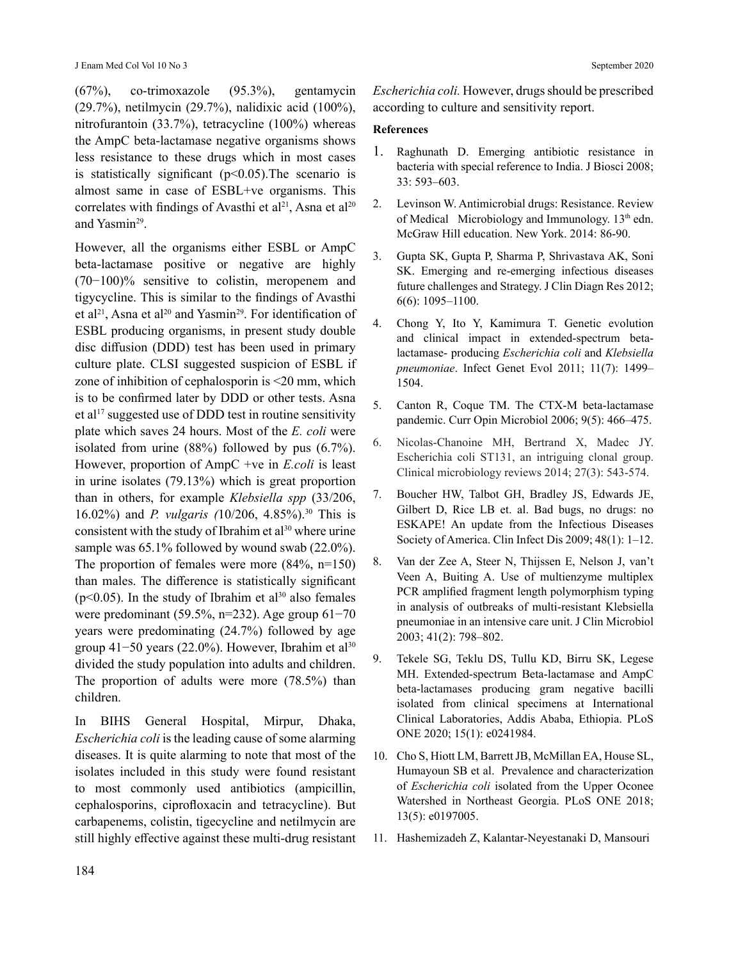(67%), co-trimoxazole (95.3%), gentamycin (29.7%), netilmycin (29.7%), nalidixic acid (100%), nitrofurantoin (33.7%), tetracycline (100%) whereas the AmpC beta-lactamase negative organisms shows less resistance to these drugs which in most cases is statistically significant  $(p<0.05)$ . The scenario is almost same in case of ESBL+ve organisms. This correlates with findings of Avasthi et  $al^{21}$ , Asna et  $al^{20}$ and Yasmin<sup>29</sup>.

However, all the organisms either ESBL or AmpC beta-lactamase positive or negative are highly (70−100)% sensitive to colistin, meropenem and tigycycline. This is similar to the findings of Avasthi et al<sup>21</sup>, Asna et al<sup>20</sup> and Yasmin<sup>29</sup>. For identification of ESBL producing organisms, in present study double disc diffusion (DDD) test has been used in primary culture plate. CLSI suggested suspicion of ESBL if zone of inhibition of cephalosporin is <20 mm, which is to be confirmed later by DDD or other tests. Asna et al<sup>17</sup> suggested use of DDD test in routine sensitivity plate which saves 24 hours. Most of the *E. coli* were isolated from urine (88%) followed by pus (6.7%). However, proportion of AmpC +ve in *E.coli* is least in urine isolates (79.13%) which is great proportion than in others, for example *Klebsiella spp* (33/206, 16.02%) and *P. vulgaris (*10/206, 4.85%).30 This is consistent with the study of Ibrahim et al $30$  where urine sample was 65.1% followed by wound swab (22.0%). The proportion of females were more  $(84\%, n=150)$ than males. The difference is statistically significant ( $p$ <0.05). In the study of Ibrahim et al<sup>30</sup> also females were predominant (59.5%, n=232). Age group 61−70 years were predominating (24.7%) followed by age group 41−50 years (22.0%). However, Ibrahim et al<sup>30</sup> divided the study population into adults and children. The proportion of adults were more (78.5%) than children.

In BIHS General Hospital, Mirpur, Dhaka, *Escherichia coli* is the leading cause of some alarming diseases. It is quite alarming to note that most of the isolates included in this study were found resistant to most commonly used antibiotics (ampicillin, cephalosporins, ciprofloxacin and tetracycline). But carbapenems, colistin, tigecycline and netilmycin are still highly effective against these multi-drug resistant *Escherichia coli.* However, drugs should be prescribed according to culture and sensitivity report.

#### **References**

- 1. Raghunath D. Emerging antibiotic resistance in bacteria with special reference to India. J Biosci 2008; 33: 593–603.
- 2. Levinson W. Antimicrobial drugs: Resistance. Review of Medical Microbiology and Immunology.  $13<sup>th</sup>$  edn. McGraw Hill education. New York. 2014: 86-90.
- 3. Gupta SK, Gupta P, Sharma P, Shrivastava AK, Soni SK. Emerging and re-emerging infectious diseases future challenges and Strategy. J Clin Diagn Res 2012; 6(6): 1095–1100.
- 4. Chong Y, Ito Y, Kamimura T. Genetic evolution and clinical impact in extended-spectrum betalactamase- producing *Escherichia coli* and *Klebsiella pneumoniae*. Infect Genet Evol 2011; 11(7): 1499– 1504.
- 5. Canton R, Coque TM. The CTX-M beta-lactamase pandemic. Curr Opin Microbiol 2006; 9(5): 466–475.
- 6. Nicolas-Chanoine MH, Bertrand X, Madec JY. Escherichia coli ST131, an intriguing clonal group. Clinical microbiology reviews 2014; 27(3): 543-574.
- 7. Boucher HW, Talbot GH, Bradley JS, Edwards JE, Gilbert D, Rice LB et. al. Bad bugs, no drugs: no ESKAPE! An update from the Infectious Diseases Society of America. Clin Infect Dis 2009; 48(1): 1–12.
- 8. Van der Zee A, Steer N, Thijssen E, Nelson J, van't Veen A, Buiting A. Use of multienzyme multiplex PCR amplified fragment length polymorphism typing in analysis of outbreaks of multi-resistant Klebsiella pneumoniae in an intensive care unit. J Clin Microbiol 2003; 41(2): 798–802.
- 9. Tekele SG, Teklu DS, Tullu KD, Birru SK, Legese MH. Extended-spectrum Beta-lactamase and AmpC beta-lactamases producing gram negative bacilli isolated from clinical specimens at International Clinical Laboratories, Addis Ababa, Ethiopia. PLoS ONE 2020; 15(1): e0241984.
- 10. Cho S, Hiott LM, Barrett JB, McMillan EA, House SL, Humayoun SB et al. Prevalence and characterization of *Escherichia coli* isolated from the Upper Oconee Watershed in Northeast Georgia. PLoS ONE 2018; 13(5): e0197005.
- 11. Hashemizadeh Z, Kalantar-Neyestanaki D, Mansouri